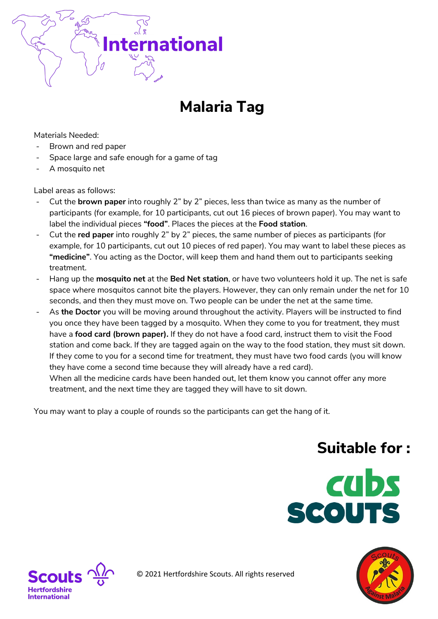

## **Malaria Tag**

Materials Needed:

- Brown and red paper
- Space large and safe enough for a game of tag
- A mosquito net

Label areas as follows:

- Cut the **brown paper** into roughly 2" by 2" pieces, less than twice as many as the number of participants (for example, for 10 participants, cut out 16 pieces of brown paper). You may want to label the individual pieces **"food"**. Places the pieces at the **Food station**.
- Cut the **red paper** into roughly 2" by 2" pieces, the same number of pieces as participants (for example, for 10 participants, cut out 10 pieces of red paper). You may want to label these pieces as **"medicine"**. You acting as the Doctor, will keep them and hand them out to participants seeking treatment.
- Hang up the **mosquito net** at the **Bed Net station**, or have two volunteers hold it up. The net is safe space where mosquitos cannot bite the players. However, they can only remain under the net for 10 seconds, and then they must move on. Two people can be under the net at the same time.
- As the Doctor you will be moving around throughout the activity. Players will be instructed to find you once they have been tagged by a mosquito. When they come to you for treatment, they must have a **food card (brown paper).** If they do not have a food card, instruct them to visit the Food station and come back. If they are tagged again on the way to the food station, they must sit down. If they come to you for a second time for treatment, they must have two food cards (you will know they have come a second time because they will already have a red card). When all the medicine cards have been handed out, let them know you cannot offer any more

treatment, and the next time they are tagged they will have to sit down.

You may want to play a couple of rounds so the participants can get the hang of it.

## **Suitable for :**







© 2021 Hertfordshire Scouts. All rights reserved